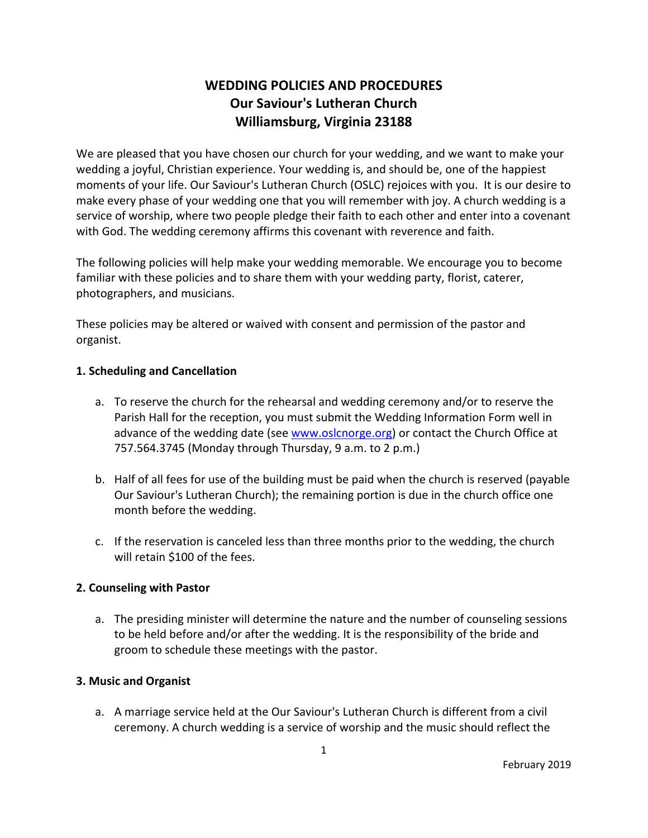# **WEDDING POLICIES AND PROCEDURES Our Saviour's Lutheran Church Williamsburg, Virginia 23188**

We are pleased that you have chosen our church for your wedding, and we want to make your wedding a joyful, Christian experience. Your wedding is, and should be, one of the happiest moments of your life. Our Saviour's Lutheran Church (OSLC) rejoices with you. It is our desire to make every phase of your wedding one that you will remember with joy. A church wedding is a service of worship, where two people pledge their faith to each other and enter into a covenant with God. The wedding ceremony affirms this covenant with reverence and faith.

The following policies will help make your wedding memorable. We encourage you to become familiar with these policies and to share them with your wedding party, florist, caterer, photographers, and musicians.

These policies may be altered or waived with consent and permission of the pastor and organist.

## **1. Scheduling and Cancellation**

- a. To reserve the church for the rehearsal and wedding ceremony and/or to reserve the Parish Hall for the reception, you must submit the Wedding Information Form well in advance of the wedding date (see www.oslcnorge.org) or contact the Church Office at 757.564.3745 (Monday through Thursday, 9 a.m. to 2 p.m.)
- b. Half of all fees for use of the building must be paid when the church is reserved (payable Our Saviour's Lutheran Church); the remaining portion is due in the church office one month before the wedding.
- c. If the reservation is canceled less than three months prior to the wedding, the church will retain \$100 of the fees.

# **2. Counseling with Pastor**

a. The presiding minister will determine the nature and the number of counseling sessions to be held before and/or after the wedding. It is the responsibility of the bride and groom to schedule these meetings with the pastor.

# **3. Music and Organist**

a. A marriage service held at the Our Saviour's Lutheran Church is different from a civil ceremony. A church wedding is a service of worship and the music should reflect the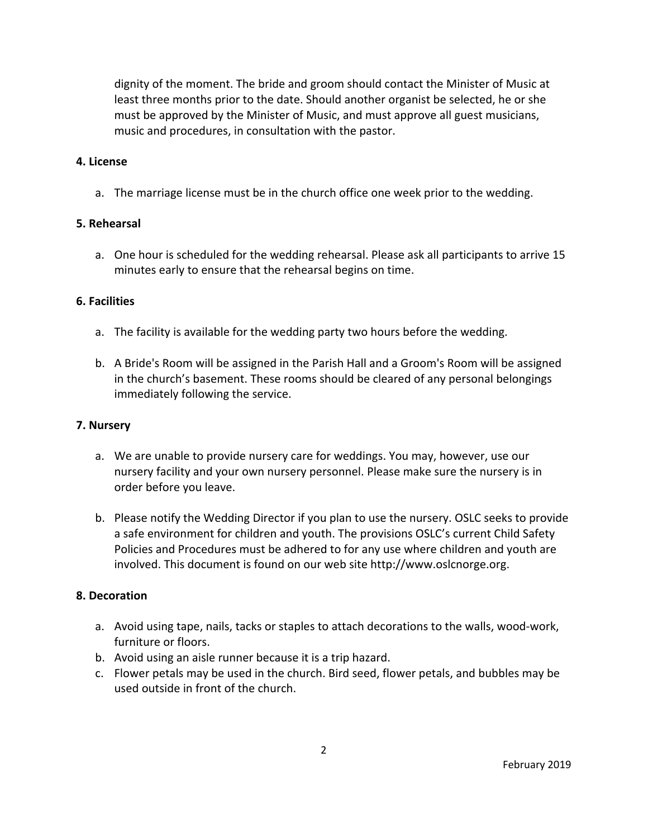dignity of the moment. The bride and groom should contact the Minister of Music at least three months prior to the date. Should another organist be selected, he or she must be approved by the Minister of Music, and must approve all guest musicians, music and procedures, in consultation with the pastor.

#### **4. License**

a. The marriage license must be in the church office one week prior to the wedding.

## **5. Rehearsal**

a. One hour is scheduled for the wedding rehearsal. Please ask all participants to arrive 15 minutes early to ensure that the rehearsal begins on time.

#### **6. Facilities**

- a. The facility is available for the wedding party two hours before the wedding.
- b. A Bride's Room will be assigned in the Parish Hall and a Groom's Room will be assigned in the church's basement. These rooms should be cleared of any personal belongings immediately following the service.

#### **7. Nursery**

- a. We are unable to provide nursery care for weddings. You may, however, use our nursery facility and your own nursery personnel. Please make sure the nursery is in order before you leave.
- b. Please notify the Wedding Director if you plan to use the nursery. OSLC seeks to provide a safe environment for children and youth. The provisions OSLC's current Child Safety Policies and Procedures must be adhered to for any use where children and youth are involved. This document is found on our web site http://www.oslcnorge.org.

## **8. Decoration**

- a. Avoid using tape, nails, tacks or staples to attach decorations to the walls, wood‐work, furniture or floors.
- b. Avoid using an aisle runner because it is a trip hazard.
- c. Flower petals may be used in the church. Bird seed, flower petals, and bubbles may be used outside in front of the church.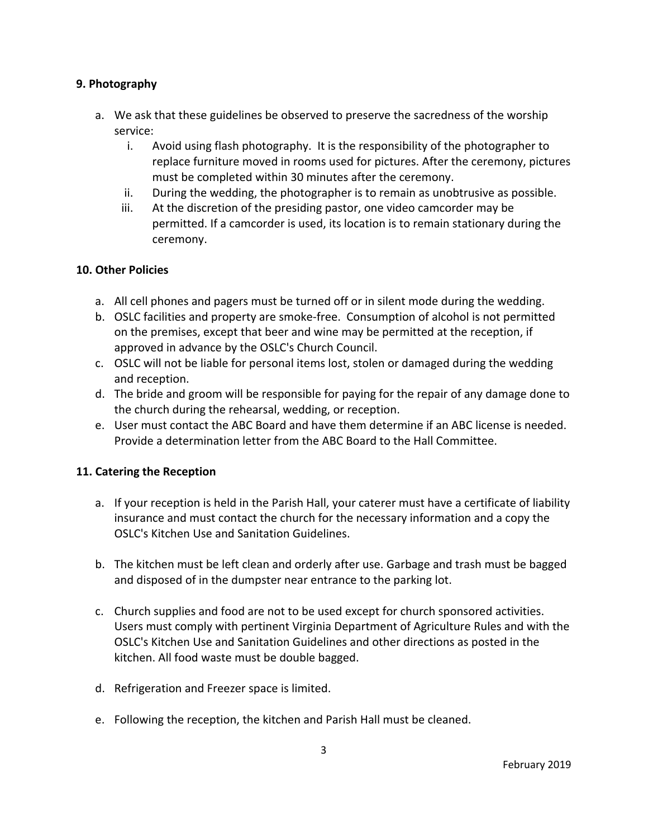## **9. Photography**

- a. We ask that these guidelines be observed to preserve the sacredness of the worship service:
	- i. Avoid using flash photography. It is the responsibility of the photographer to replace furniture moved in rooms used for pictures. After the ceremony, pictures must be completed within 30 minutes after the ceremony.
	- ii. During the wedding, the photographer is to remain as unobtrusive as possible.
	- iii. At the discretion of the presiding pastor, one video camcorder may be permitted. If a camcorder is used, its location is to remain stationary during the ceremony.

## **10. Other Policies**

- a. All cell phones and pagers must be turned off or in silent mode during the wedding.
- b. OSLC facilities and property are smoke‐free. Consumption of alcohol is not permitted on the premises, except that beer and wine may be permitted at the reception, if approved in advance by the OSLC's Church Council.
- c. OSLC will not be liable for personal items lost, stolen or damaged during the wedding and reception.
- d. The bride and groom will be responsible for paying for the repair of any damage done to the church during the rehearsal, wedding, or reception.
- e. User must contact the ABC Board and have them determine if an ABC license is needed. Provide a determination letter from the ABC Board to the Hall Committee.

## **11. Catering the Reception**

- a. If your reception is held in the Parish Hall, your caterer must have a certificate of liability insurance and must contact the church for the necessary information and a copy the OSLC's Kitchen Use and Sanitation Guidelines.
- b. The kitchen must be left clean and orderly after use. Garbage and trash must be bagged and disposed of in the dumpster near entrance to the parking lot.
- c. Church supplies and food are not to be used except for church sponsored activities. Users must comply with pertinent Virginia Department of Agriculture Rules and with the OSLC's Kitchen Use and Sanitation Guidelines and other directions as posted in the kitchen. All food waste must be double bagged.
- d. Refrigeration and Freezer space is limited.
- e. Following the reception, the kitchen and Parish Hall must be cleaned.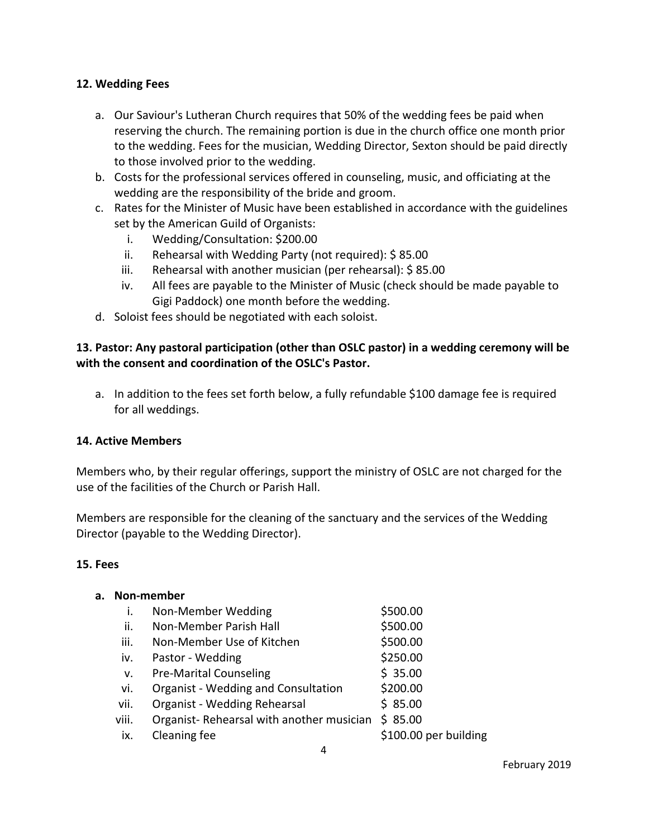## **12. Wedding Fees**

- a. Our Saviour's Lutheran Church requires that 50% of the wedding fees be paid when reserving the church. The remaining portion is due in the church office one month prior to the wedding. Fees for the musician, Wedding Director, Sexton should be paid directly to those involved prior to the wedding.
- b. Costs for the professional services offered in counseling, music, and officiating at the wedding are the responsibility of the bride and groom.
- c. Rates for the Minister of Music have been established in accordance with the guidelines set by the American Guild of Organists:
	- i. Wedding/Consultation: \$200.00
	- ii. Rehearsal with Wedding Party (not required): \$ 85.00
	- iii. Rehearsal with another musician (per rehearsal): \$ 85.00
	- iv. All fees are payable to the Minister of Music (check should be made payable to Gigi Paddock) one month before the wedding.
- d. Soloist fees should be negotiated with each soloist.

# **13. Pastor: Any pastoral participation (other than OSLC pastor) in a wedding ceremony will be with the consent and coordination of the OSLC's Pastor.**

a. In addition to the fees set forth below, a fully refundable \$100 damage fee is required for all weddings.

#### **14. Active Members**

Members who, by their regular offerings, support the ministry of OSLC are not charged for the use of the facilities of the Church or Parish Hall.

Members are responsible for the cleaning of the sanctuary and the services of the Wedding Director (payable to the Wedding Director).

#### **15. Fees**

| а. | Non-member |                                            |                       |
|----|------------|--------------------------------------------|-----------------------|
|    | i.         | Non-Member Wedding                         | \$500.00              |
|    | ii.        | Non-Member Parish Hall                     | \$500.00              |
|    | iii.       | Non-Member Use of Kitchen                  | \$500.00              |
|    | iv.        | Pastor - Wedding                           | \$250.00              |
|    | v.         | <b>Pre-Marital Counseling</b>              | \$35.00               |
|    | vi.        | <b>Organist - Wedding and Consultation</b> | \$200.00              |
|    | vii.       | Organist - Wedding Rehearsal               | \$85.00               |
|    | viii.      | Organist-Rehearsal with another musician   | \$85.00               |
|    | ix.        | Cleaning fee                               | \$100.00 per building |